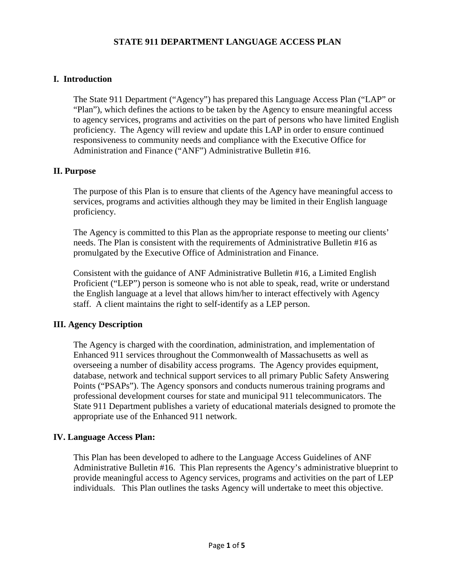# **STATE 911 DEPARTMENT LANGUAGE ACCESS PLAN**

# **I. Introduction**

The State 911 Department ("Agency") has prepared this Language Access Plan ("LAP" or "Plan"), which defines the actions to be taken by the Agency to ensure meaningful access to agency services, programs and activities on the part of persons who have limited English proficiency. The Agency will review and update this LAP in order to ensure continued responsiveness to community needs and compliance with the Executive Office for Administration and Finance ("ANF") Administrative Bulletin #16.

## **II. Purpose**

The purpose of this Plan is to ensure that clients of the Agency have meaningful access to services, programs and activities although they may be limited in their English language proficiency.

The Agency is committed to this Plan as the appropriate response to meeting our clients' needs. The Plan is consistent with the requirements of Administrative Bulletin #16 as promulgated by the Executive Office of Administration and Finance.

Consistent with the guidance of ANF Administrative Bulletin #16, a Limited English Proficient ("LEP") person is someone who is not able to speak, read, write or understand the English language at a level that allows him/her to interact effectively with Agency staff. A client maintains the right to self-identify as a LEP person.

## **III. Agency Description**

The Agency is charged with the coordination, administration, and implementation of Enhanced 911 services throughout the Commonwealth of Massachusetts as well as overseeing a number of disability access programs. The Agency provides equipment, database, network and technical support services to all primary Public Safety Answering Points ("PSAPs"). The Agency sponsors and conducts numerous training programs and professional development courses for state and municipal 911 telecommunicators. The State 911 Department publishes a variety of educational materials designed to promote the appropriate use of the Enhanced 911 network.

#### **IV. Language Access Plan:**

This Plan has been developed to adhere to the Language Access Guidelines of ANF Administrative Bulletin #16. This Plan represents the Agency's administrative blueprint to provide meaningful access to Agency services, programs and activities on the part of LEP individuals. This Plan outlines the tasks Agency will undertake to meet this objective.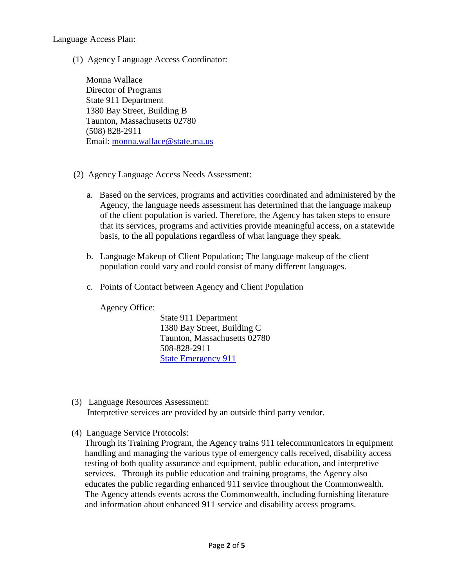Language Access Plan:

(1) Agency Language Access Coordinator:

Monna Wallace Director of Programs State 911 Department 1380 Bay Street, Building B Taunton, Massachusetts 02780 (508) 828-2911 Email: monna.wallace@state.ma.us

- (2) Agency Language Access Needs Assessment:
	- a. Based on the services, programs and activities coordinated and administered by the Agency, the language needs assessment has determined that the language makeup of the client population is varied. Therefore, the Agency has taken steps to ensure that its services, programs and activities provide meaningful access, on a statewide basis, to the all populations regardless of what language they speak.
	- b. Language Makeup of Client Population; The language makeup of the client population could vary and could consist of many different languages.
	- c. Points of Contact between Agency and Client Population

Agency Office:

State 911 Department 1380 Bay Street, Building C Taunton, Massachusetts 02780 508-828-2911 [State Emergency 911](http://www.mass.gov/eopss/agencies/state-911/)

- (3) Language Resources Assessment: Interpretive services are provided by an outside third party vendor.
- (4) Language Service Protocols:

Through its Training Program, the Agency trains 911 telecommunicators in equipment handling and managing the various type of emergency calls received, disability access testing of both quality assurance and equipment, public education, and interpretive services. Through its public education and training programs, the Agency also educates the public regarding enhanced 911 service throughout the Commonwealth. The Agency attends events across the Commonwealth, including furnishing literature and information about enhanced 911 service and disability access programs.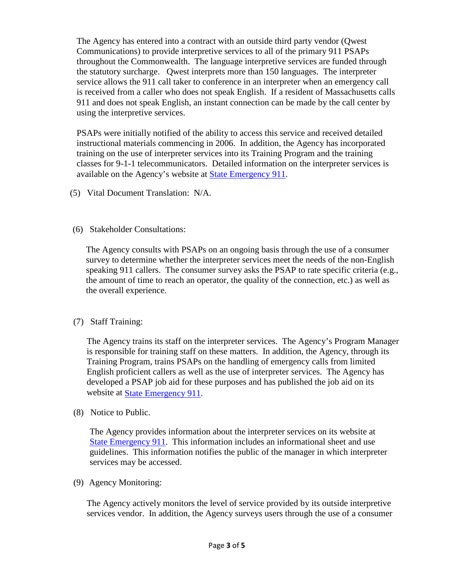The Agency has entered into a contract with an outside third party vendor (Qwest Communications) to provide interpretive services to all of the primary 911 PSAPs throughout the Commonwealth. The language interpretive services are funded through the statutory surcharge. Qwest interprets more than 150 languages. The interpreter service allows the 911 call taker to conference in an interpreter when an emergency call is received from a caller who does not speak English. If a resident of Massachusetts calls 911 and does not speak English, an instant connection can be made by the call center by using the interpretive services.

PSAPs were initially notified of the ability to access this service and received detailed instructional materials commencing in 2006. In addition, the Agency has incorporated training on the use of interpreter services into its Training Program and the training classes for 9-1-1 telecommunicators. Detailed information on the interpreter services is available on the Agency's website at [State Emergency 911](http://www.mass.gov/eopss/agencies/state-911/).

- (5) Vital Document Translation: N/A.
- (6) Stakeholder Consultations:

The Agency consults with PSAPs on an ongoing basis through the use of a consumer survey to determine whether the interpreter services meet the needs of the non-English speaking 911 callers. The consumer survey asks the PSAP to rate specific criteria (e.g., the amount of time to reach an operator, the quality of the connection, etc.) as well as the overall experience.

(7) Staff Training:

The Agency trains its staff on the interpreter services. The Agency's Program Manager is responsible for training staff on these matters. In addition, the Agency, through its Training Program, trains PSAPs on the handling of emergency calls from limited English proficient callers as well as the use of interpreter services. The Agency has developed a PSAP job aid for these purposes and has published the job aid on its website at [State Emergency 911.](http://www.mass.gov/eopss/agencies/state-911/)

(8) Notice to Public.

The Agency provides information about the interpreter services on its website at [State Emergency 911.](http://www.mass.gov/eopss/agencies/state-911/) This information includes an informational sheet and use guidelines. This information notifies the public of the manager in which interpreter services may be accessed.

(9) Agency Monitoring:

The Agency actively monitors the level of service provided by its outside interpretive services vendor. In addition, the Agency surveys users through the use of a consumer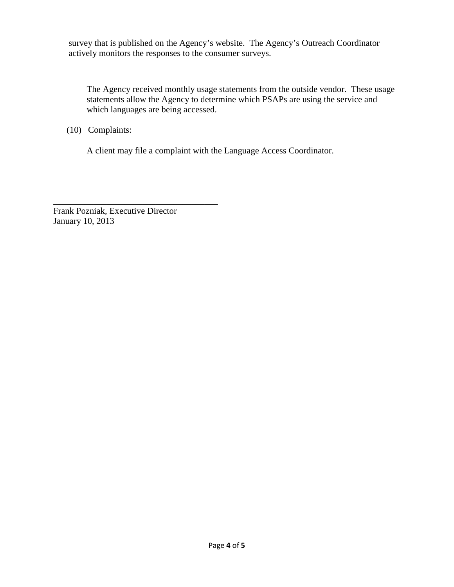survey that is published on the Agency's website. The Agency's Outreach Coordinator actively monitors the responses to the consumer surveys.

The Agency received monthly usage statements from the outside vendor. These usage statements allow the Agency to determine which PSAPs are using the service and which languages are being accessed.

(10) Complaints:

A client may file a complaint with the Language Access Coordinator.

Frank Pozniak, Executive Director January 10, 2013

\_\_\_\_\_\_\_\_\_\_\_\_\_\_\_\_\_\_\_\_\_\_\_\_\_\_\_\_\_\_\_\_\_\_\_\_\_